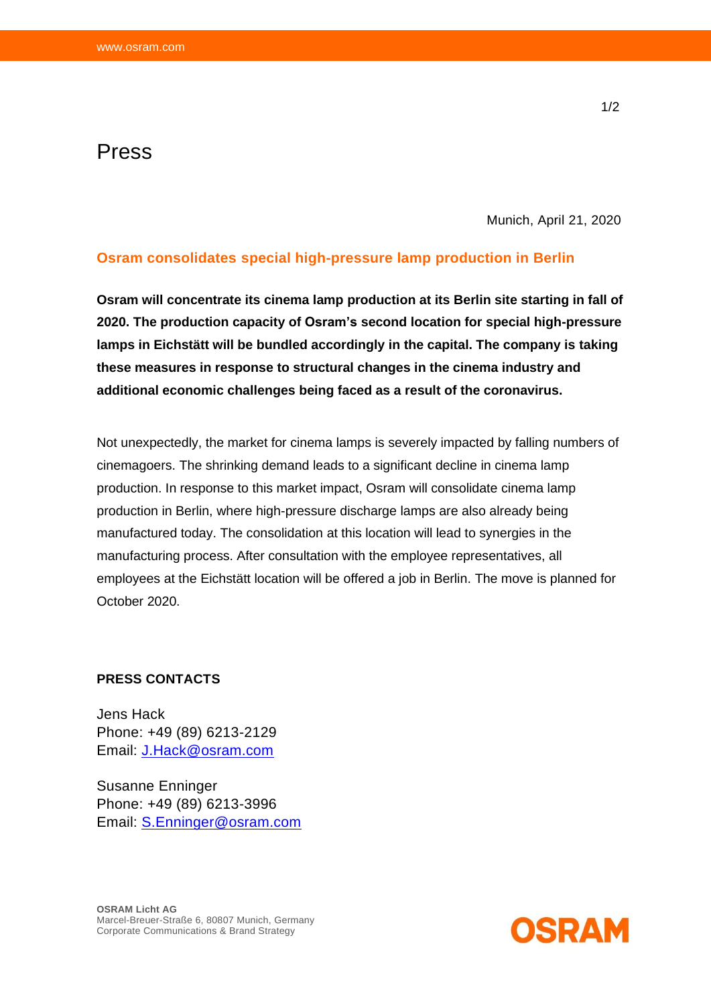## Press

Munich, April 21, 2020

## **Osram consolidates special high-pressure lamp production in Berlin**

**Osram will concentrate its cinema lamp production at its Berlin site starting in fall of 2020. The production capacity of Osram's second location for special high-pressure lamps in Eichstätt will be bundled accordingly in the capital. The company is taking these measures in response to structural changes in the cinema industry and additional economic challenges being faced as a result of the coronavirus.**

Not unexpectedly, the market for cinema lamps is severely impacted by falling numbers of cinemagoers. The shrinking demand leads to a significant decline in cinema lamp production. In response to this market impact, Osram will consolidate cinema lamp production in Berlin, where high-pressure discharge lamps are also already being manufactured today. The consolidation at this location will lead to synergies in the manufacturing process. After consultation with the employee representatives, all employees at the Eichstätt location will be offered a job in Berlin. The move is planned for October 2020.

## **PRESS CONTACTS**

Jens Hack Phone: +49 (89) 6213-2129 Email: [J.Hack@osram.com](mailto:J.Hack@osram.com)

Susanne Enninger Phone: +49 (89) 6213-3996 Email: [S.Enninger@osram.com](mailto:S.Enninger@osram.com)